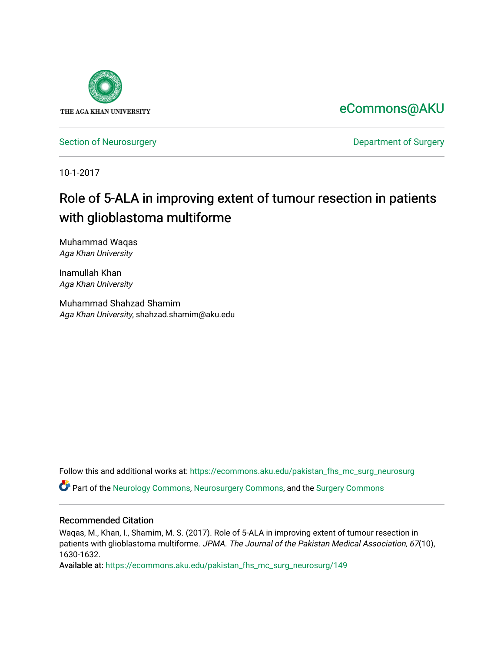

## [eCommons@AKU](https://ecommons.aku.edu/)

[Section of Neurosurgery](https://ecommons.aku.edu/pakistan_fhs_mc_surg_neurosurg) **Department of Surgery** Department of Surgery

10-1-2017

# Role of 5-ALA in improving extent of tumour resection in patients with glioblastoma multiforme

Muhammad Waqas Aga Khan University

Inamullah Khan Aga Khan University

Muhammad Shahzad Shamim Aga Khan University, shahzad.shamim@aku.edu

Follow this and additional works at: [https://ecommons.aku.edu/pakistan\\_fhs\\_mc\\_surg\\_neurosurg](https://ecommons.aku.edu/pakistan_fhs_mc_surg_neurosurg?utm_source=ecommons.aku.edu%2Fpakistan_fhs_mc_surg_neurosurg%2F149&utm_medium=PDF&utm_campaign=PDFCoverPages) 

Part of the [Neurology Commons](http://network.bepress.com/hgg/discipline/692?utm_source=ecommons.aku.edu%2Fpakistan_fhs_mc_surg_neurosurg%2F149&utm_medium=PDF&utm_campaign=PDFCoverPages), [Neurosurgery Commons](http://network.bepress.com/hgg/discipline/1428?utm_source=ecommons.aku.edu%2Fpakistan_fhs_mc_surg_neurosurg%2F149&utm_medium=PDF&utm_campaign=PDFCoverPages), and the [Surgery Commons](http://network.bepress.com/hgg/discipline/706?utm_source=ecommons.aku.edu%2Fpakistan_fhs_mc_surg_neurosurg%2F149&utm_medium=PDF&utm_campaign=PDFCoverPages) 

#### Recommended Citation

Waqas, M., Khan, I., Shamim, M. S. (2017). Role of 5-ALA in improving extent of tumour resection in patients with glioblastoma multiforme. JPMA. The Journal of the Pakistan Medical Association, 67(10), 1630-1632.

Available at: [https://ecommons.aku.edu/pakistan\\_fhs\\_mc\\_surg\\_neurosurg/149](https://ecommons.aku.edu/pakistan_fhs_mc_surg_neurosurg/149)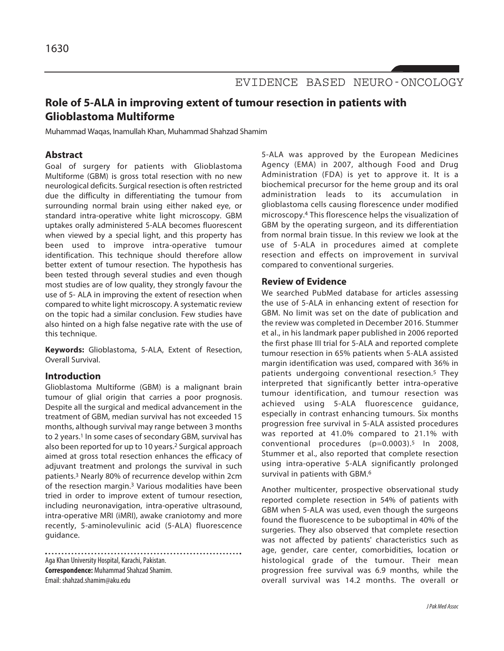

## **Role of 5-ALA in improving extent of tumour resection in patients with Glioblastoma Multiforme**

Muhammad Waqas, Inamullah Khan, Muhammad Shahzad Shamim

### **Abstract**

Goal of surgery for patients with Glioblastoma Multiforme (GBM) is gross total resection with no new neurological deficits. Surgical resection is often restricted due the difficulty in differentiating the tumour from surrounding normal brain using either naked eye, or standard intra-operative white light microscopy. GBM uptakes orally administered 5-ALA becomes fluorescent when viewed by a special light, and this property has been used to improve intra-operative tumour identification. This technique should therefore allow better extent of tumour resection. The hypothesis has been tested through several studies and even though most studies are of low quality, they strongly favour the use of 5- ALA in improving the extent of resection when compared to white light microscopy. A systematic review on the topic had a similar conclusion. Few studies have also hinted on a high false negative rate with the use of this technique.

**Keywords:** Glioblastoma, 5-ALA, Extent of Resection, Overall Survival.

#### **Introduction**

Glioblastoma Multiforme (GBM) is a malignant brain tumour of glial origin that carries a poor prognosis. Despite all the surgical and medical advancement in the treatment of GBM, median survival has not exceeded 15 months, although survival may range between 3 months to 2 years. <sup>1</sup> In some cases of secondary GBM, survival has also been reported for up to 10 years. <sup>2</sup> Surgical approach aimed at gross total resection enhances the efficacy of adjuvant treatment and prolongs the survival in such patients. <sup>3</sup> Nearly 80% of recurrence develop within 2cm of the resection margin. <sup>3</sup> Various modalities have been tried in order to improve extent of tumour resection, including neuronavigation, intra-operative ultrasound, intra-operative MRI (iMRI), awake craniotomy and more recently, 5-aminolevulinic acid (5-ALA) fluorescence guidance.

Aga Khan University Hospital, Karachi,Pakistan. **Correspondence: Muhammad Shahzad Shamim.** Email: shahzad.shamim@aku.edu

5-ALA was approved by the European Medicines Agency (EMA) in 2007, although Food and Drug Administration (FDA) is yet to approve it. It is a biochemical precursor for the heme group and its oral administration leads to its accumulation in glioblastoma cells causing florescence under modified microscopy. <sup>4</sup> This florescence helps the visualization of GBM by the operating surgeon, and its differentiation from normal brain tissue. In this review we look at the use of 5-ALA in procedures aimed at complete resection and effects on improvement in survival compared to conventional surgeries.

#### **Review of Evidence**

We searched PubMed database for articles assessing the use of 5-ALA in enhancing extent of resection for GBM. No limit was set on the date of publication and the review was completed in December 2016. Stummer et al., in his landmark paper published in 2006 reported the first phase III trial for 5-ALA and reported complete tumour resection in 65% patients when 5-ALA assisted margin identification was used, compared with 36% in patients undergoing conventional resection.5 They interpreted that significantly better intra-operative tumour identification, and tumour resection was achieved using 5-ALA fluorescence guidance, especially in contrast enhancing tumours. Six months progression free survival in 5-ALA assisted procedures was reported at 41.0% compared to 21.1% with conventional procedures (p=0.0003).5 In 2008, Stummer et al., also reported that complete resection using intra-operative 5-ALA significantly prolonged survival in patients with GBM. 6

Another multicenter, prospective observational study reported complete resection in 54% of patients with GBM when 5-ALA was used, even though the surgeons found the fluorescence to be suboptimal in 40% of the surgeries. They also observed that complete resection was not affected by patients' characteristics such as age, gender, care center, comorbidities, location or histological grade of the tumour. Their mean progression free survival was 6.9 months, while the overall survival was 14.2 months. The overall or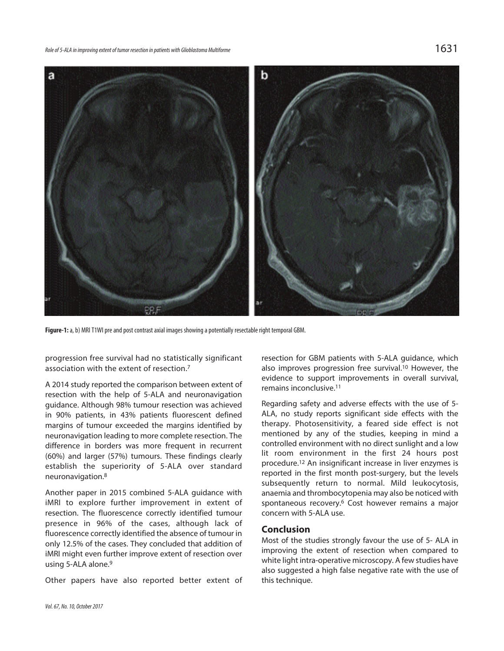

Figure-1: a, b) MRI T1WI pre and post contrast axial images showing a potentially resectable right temporal GBM.

progression free survival had no statistically significant association with the extent of resection. 7

A 2014 study reported the comparison between extent of resection with the help of 5-ALA and neuronavigation guidance. Although 98% tumour resection was achieved in 90% patients, in 43% patients fluorescent defined margins of tumour exceeded the margins identified by neuronavigation leading to more complete resection. The difference in borders was more frequent in recurrent (60%) and larger (57%) tumours. These findings clearly establish the superiority of 5-ALA over standard neuronavigation. 8

Another paper in 2015 combined 5-ALA guidance with iMRI to explore further improvement in extent of resection. The fluorescence correctly identified tumour presence in 96% of the cases, although lack of fluorescence correctly identified the absence of tumour in only 12.5% of the cases. They concluded that addition of iMRI might even further improve extent of resection over using 5-ALA alone. 9

Other papers have also reported better extent of

resection for GBM patients with 5-ALA guidance, which also improves progression free survival. <sup>10</sup> However, the evidence to support improvements in overall survival, remains inconclusive. 11

Regarding safety and adverse effects with the use of 5- ALA, no study reports significant side effects with the therapy. Photosensitivity, a feared side effect is not mentioned by any of the studies, keeping in mind a controlled environment with no direct sunlight and a low lit room environment in the first 24 hours post procedure. <sup>12</sup> An insignificant increase in liver enzymes is reported in the first month post-surgery, but the levels subsequently return to normal. Mild leukocytosis, anaemia and thrombocytopenia may also be noticed with spontaneous recovery. <sup>6</sup> Cost however remains a major concern with 5-ALA use.

#### **Conclusion**

Most of the studies strongly favour the use of 5- ALA in improving the extent of resection when compared to white light intra-operative microscopy. A few studies have also suggested a high false negative rate with the use of this technique.